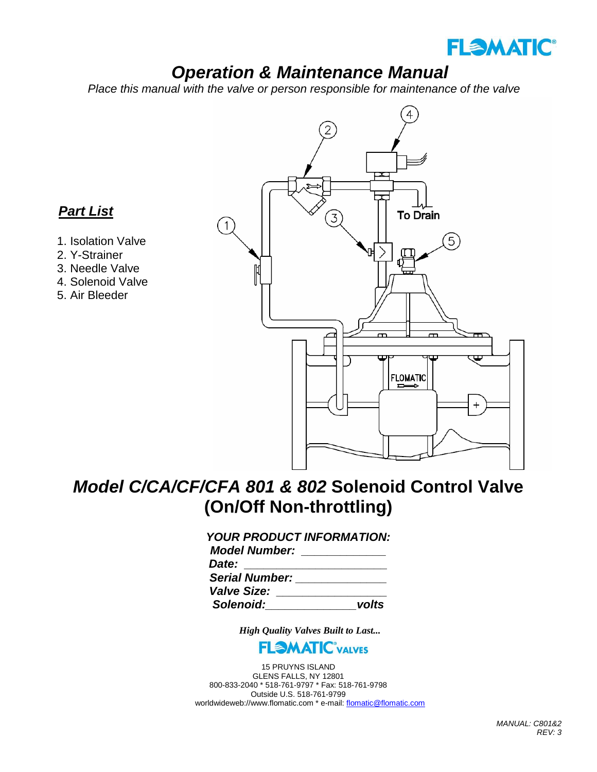

# *Operation & Maintenance Manual*

 *Place this manual with the valve or person responsible for maintenance of the valve*



# *Model C/CA/CF/CFA 801 & 802* **Solenoid Control Valve (On/Off Non-throttling)**

## *YOUR PRODUCT INFORMATION:*

| <b>Model Number:</b>  |       |
|-----------------------|-------|
| Date:                 |       |
| <b>Serial Number:</b> |       |
| <b>Valve Size:</b>    |       |
| Solenoid:             | volts |

*High Quality Valves Built to Last...*



15 PRUYNS ISLAND GLENS FALLS, NY 12801 800-833-2040 \* 518-761-9797 \* Fax: 518-761-9798 Outside U.S. 518-761-9799 worldwideweb://www.flomatic.com \* e-mail[: flomatic@flomatic.com](mailto:flomatic@flomatic.com)

# *Part List*

- 1. Isolation Valve
- 2. Y-Strainer
- 3. Needle Valve
- 4. Solenoid Valve
- 5. Air Bleeder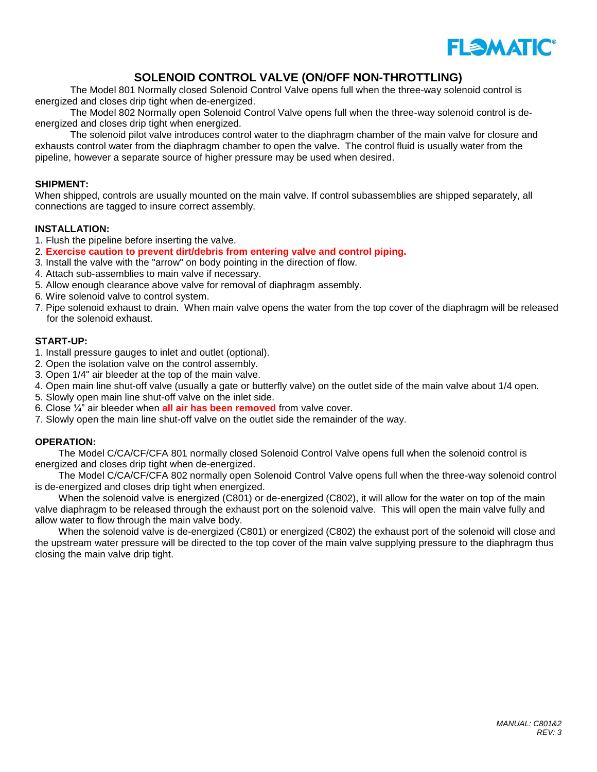

### **SOLENOID CONTROL VALVE (ON/OFF NON-THROTTLING)**

The Model 801 Normally closed Solenoid Control Valve opens full when the three-way solenoid control is energized and closes drip tight when de-energized.

The Model 802 Normally open Solenoid Control Valve opens full when the three-way solenoid control is deenergized and closes drip tight when energized.

The solenoid pilot valve introduces control water to the diaphragm chamber of the main valve for closure and exhausts control water from the diaphragm chamber to open the valve. The control fluid is usually water from the pipeline, however a separate source of higher pressure may be used when desired.

#### **SHIPMENT:**

When shipped, controls are usually mounted on the main valve. If control subassemblies are shipped separately, all connections are tagged to insure correct assembly.

#### **INSTALLATION:**

- 1. Flush the pipeline before inserting the valve.
- 2. **Exercise caution to prevent dirt/debris from entering valve and control piping.**
- 3. Install the valve with the "arrow" on body pointing in the direction of flow.
- 4. Attach sub-assemblies to main valve if necessary.
- 5. Allow enough clearance above valve for removal of diaphragm assembly.
- 6. Wire solenoid valve to control system.
- 7. Pipe solenoid exhaust to drain. When main valve opens the water from the top cover of the diaphragm will be released for the solenoid exhaust.

#### **START-UP:**

- 1. Install pressure gauges to inlet and outlet (optional).
- 2. Open the isolation valve on the control assembly.
- 3. Open 1/4" air bleeder at the top of the main valve.
- 4. Open main line shut-off valve (usually a gate or butterfly valve) on the outlet side of the main valve about 1/4 open.
- 5. Slowly open main line shut-off valve on the inlet side.
- 6. Close ¼" air bleeder when **all air has been removed** from valve cover.
- 7. Slowly open the main line shut-off valve on the outlet side the remainder of the way.

#### **OPERATION:**

The Model C/CA/CF/CFA 801 normally closed Solenoid Control Valve opens full when the solenoid control is energized and closes drip tight when de-energized.

The Model C/CA/CF/CFA 802 normally open Solenoid Control Valve opens full when the three-way solenoid control is de-energized and closes drip tight when energized.

When the solenoid valve is energized (C801) or de-energized (C802), it will allow for the water on top of the main valve diaphragm to be released through the exhaust port on the solenoid valve. This will open the main valve fully and allow water to flow through the main valve body.

When the solenoid valve is de-energized (C801) or energized (C802) the exhaust port of the solenoid will close and the upstream water pressure will be directed to the top cover of the main valve supplying pressure to the diaphragm thus closing the main valve drip tight.